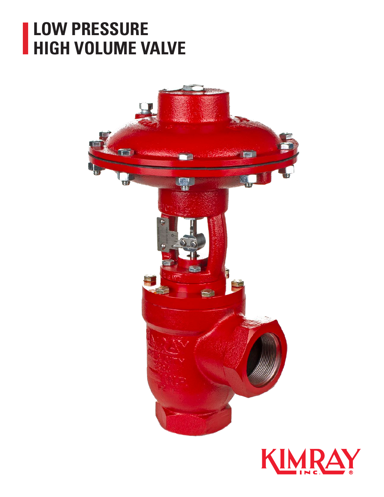### **LOW PRESSURE HIGH VOLUME VALVE**



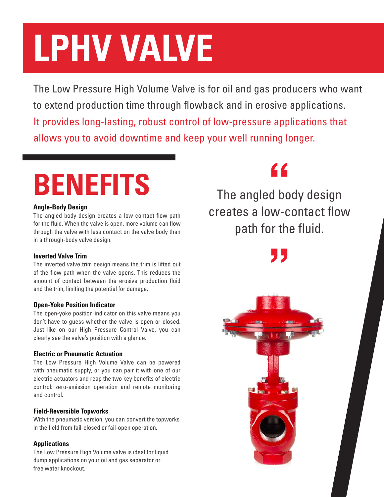# **LPHV VALVE**

The Low Pressure High Volume Valve is for oil and gas producers who want to extend production time through flowback and in erosive applications. It provides long-lasting, robust control of low-pressure applications that allows you to avoid downtime and keep your well running longer.

## **BENEFITS** The angled body design

#### **Angle-Body Design**

The angled body design creates a low-contact flow path for the fluid. When the valve is open, more volume can flow through the valve with less contact on the valve body than in a through-body valve design.

#### **Inverted Valve Trim**

The inverted valve trim design means the trim is lifted out of the flow path when the valve opens. This reduces the amount of contact between the erosive production fluid and the trim, limiting the potential for damage.

#### **Open-Yoke Position Indicator**

The open-yoke position indicator on this valve means you don't have to guess whether the valve is open or closed. Just like on our High Pressure Control Valve, you can clearly see the valve's position with a glance.

#### **Electric or Pneumatic Actuation**

The Low Pressure High Volume Valve can be powered with pneumatic supply, or you can pair it with one of our electric actuators and reap the two key benefits of electric control: zero-emission operation and remote monitoring and control.

#### **Field-Reversible Topworks**

With the pneumatic version, you can convert the topworks in the field from fail-closed or fail-open operation.

### **Applications**

The Low Pressure High Volume valve is ideal for liquid dump applications on your oil and gas separator or free water knockout.

creates a low-contact flow path for the fluid.

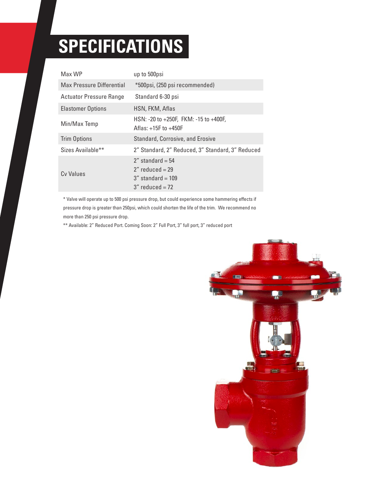## **SPECIFICATIONS**

| Max WP                         | up to 500psi                                                                            |
|--------------------------------|-----------------------------------------------------------------------------------------|
| Max Pressure Differential      | *500psi, (250 psi recommended)                                                          |
| <b>Actuator Pressure Range</b> | Standard 6-30 psi                                                                       |
| <b>Elastomer Options</b>       | HSN, FKM, Aflas                                                                         |
| Min/Max Temp                   | HSN: -20 to +250F, FKM: -15 to +400F,<br>Aflas: $+15F$ to $+450F$                       |
| <b>Trim Options</b>            | <b>Standard, Corrosive, and Erosive</b>                                                 |
| Sizes Available**              | 2" Standard, 2" Reduced, 3" Standard, 3" Reduced                                        |
| Cy Values                      | $2''$ standard = 54<br>$2''$ reduced = 29<br>$3''$ standard = 109<br>$3''$ reduced = 72 |

\* Valve will operate up to 500 psi pressure drop, but could experience some hammering effects if pressure drop is greater than 250psi, which could shorten the life of the trim. We recommend no more than 250 psi pressure drop.

\*\* Available: 2" Reduced Port. Coming Soon: 2" Full Port, 3" full port, 3" reduced port